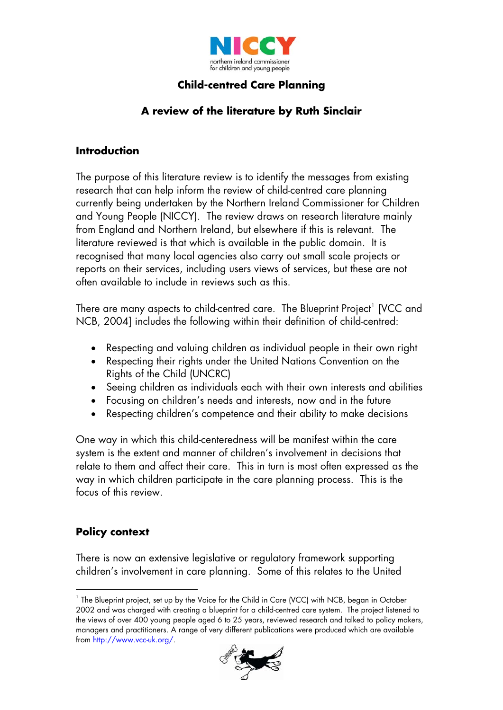

# **Child-centred Care Planning**

# **A review of the literature by Ruth Sinclair**

#### **Introduction**

The purpose of this literature review is to identify the messages from existing research that can help inform the review of child-centred care planning currently being undertaken by the Northern Ireland Commissioner for Children and Young People (NICCY). The review draws on research literature mainly from England and Northern Ireland, but elsewhere if this is relevant. The literature reviewed is that which is available in the public domain. It is recognised that many local agencies also carry out small scale projects or reports on their services, including users views of services, but these are not often available to include in reviews such as this.

There are many aspects to child-centred care. The Blueprint Project $^{\mathrm{1}}$  $^{\mathrm{1}}$  $^{\mathrm{1}}$  [VCC and NCB, 2004] includes the following within their definition of child-centred:

- Respecting and valuing children as individual people in their own right
- Respecting their rights under the United Nations Convention on the Rights of the Child (UNCRC)
- Seeing children as individuals each with their own interests and abilities
- Focusing on children's needs and interests, now and in the future
- Respecting children's competence and their ability to make decisions

One way in which this child-centeredness will be manifest within the care system is the extent and manner of children's involvement in decisions that relate to them and affect their care. This in turn is most often expressed as the way in which children participate in the care planning process. This is the focus of this review.

## **Policy context**

l

There is now an extensive legislative or regulatory framework supporting children's involvement in care planning. Some of this relates to the United

<span id="page-0-0"></span><sup>&</sup>lt;sup>1</sup> The Blueprint project, set up by the Voice for the Child in Care (VCC) with NCB, began in October 2002 and was charged with creating a blueprint for a child-centred care system. The project listened to the views of over 400 young people aged 6 to 25 years, reviewed research and talked to policy makers, managers and practitioners. A range of very different publications were produced which are available from<http://www.vcc-uk.org/>.

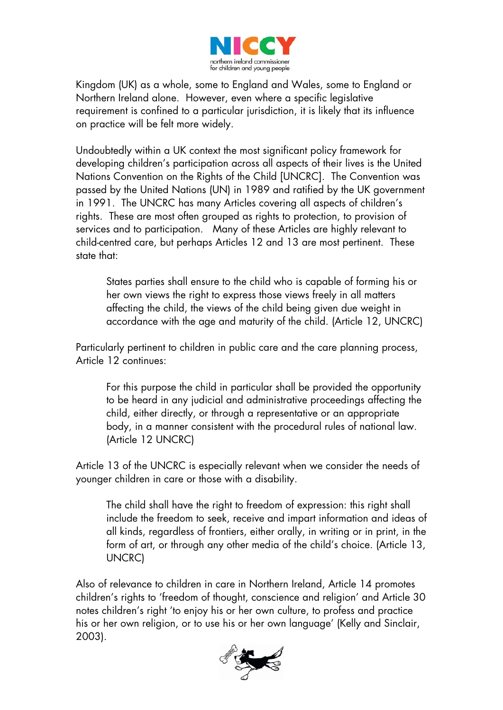

Kingdom (UK) as a whole, some to England and Wales, some to England or Northern Ireland alone. However, even where a specific legislative requirement is confined to a particular jurisdiction, it is likely that its influence on practice will be felt more widely.

Undoubtedly within a UK context the most significant policy framework for developing children's participation across all aspects of their lives is the United Nations Convention on the Rights of the Child [UNCRC]. The Convention was passed by the United Nations (UN) in 1989 and ratified by the UK government in 1991. The UNCRC has many Articles covering all aspects of children's rights. These are most often grouped as rights to protection, to provision of services and to participation. Many of these Articles are highly relevant to child-centred care, but perhaps Articles 12 and 13 are most pertinent. These state that:

States parties shall ensure to the child who is capable of forming his or her own views the right to express those views freely in all matters affecting the child, the views of the child being given due weight in accordance with the age and maturity of the child. (Article 12, UNCRC)

Particularly pertinent to children in public care and the care planning process, Article 12 continues:

For this purpose the child in particular shall be provided the opportunity to be heard in any judicial and administrative proceedings affecting the child, either directly, or through a representative or an appropriate body, in a manner consistent with the procedural rules of national law. (Article 12 UNCRC)

Article 13 of the UNCRC is especially relevant when we consider the needs of younger children in care or those with a disability.

The child shall have the right to freedom of expression: this right shall include the freedom to seek, receive and impart information and ideas of all kinds, regardless of frontiers, either orally, in writing or in print, in the form of art, or through any other media of the child's choice. (Article 13, UNCRC)

Also of relevance to children in care in Northern Ireland, Article 14 promotes children's rights to 'freedom of thought, conscience and religion' and Article 30 notes children's right 'to enjoy his or her own culture, to profess and practice his or her own religion, or to use his or her own language' (Kelly and Sinclair, 2003).

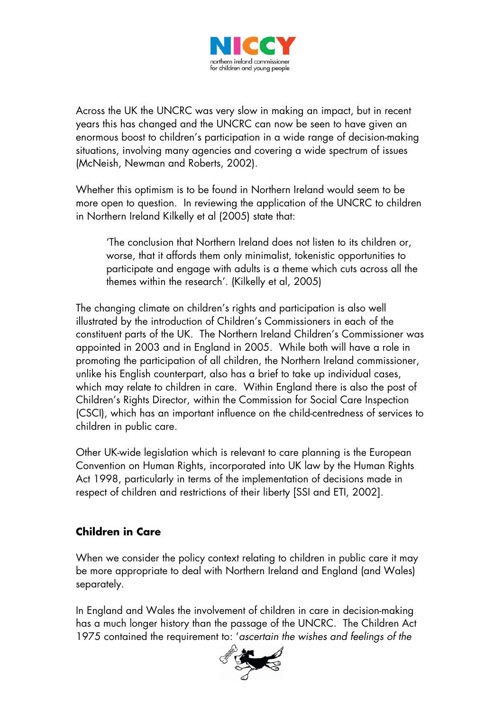

Across the UK the UNCRC was very slow in making an impact, but in recent years this has changed and the UNCRC can now be seen to have given an enormous boost to children's participation in a wide range of decision-making situations, involving many agencies and covering a wide spectrum of issues (McNeish, Newman and Roberts, 2002).

Whether this optimism is to be found in Northern Ireland would seem to be more open to question. In reviewing the application of the UNCRC to children in Northern Ireland Kilkelly et al (2005) state that:

'The conclusion that Northern Ireland does not listen to its children or, worse, that it affords them only minimalist, tokenistic opportunities to participate and engage with adults is a theme which cuts across all the themes within the research'. (Kilkelly et al, 2005)

The changing climate on children's rights and participation is also well illustrated by the introduction of Children's Commissioners in each of the constituent parts of the UK. The Northern Ireland Children's Commissioner was appointed in 2003 and in England in 2005. While both will have a role in promoting the participation of all children, the Northern Ireland commissioner, unlike his English counterpart, also has a brief to take up individual cases, which may relate to children in care. Within England there is also the post of Children's Rights Director, within the Commission for Social Care Inspection (CSCI), which has an important influence on the child-centredness of services to children in public care.

Other UK-wide legislation which is relevant to care planning is the European Convention on Human Rights, incorporated into UK law by the Human Rights Act 1998, particularly in terms of the implementation of decisions made in respect of children and restrictions of their liberty [SSI and ETI, 2002].

## **Children in Care**

When we consider the policy context relating to children in public care it may be more appropriate to deal with Northern Ireland and England (and Wales) separately.

In England and Wales the involvement of children in care in decision-making has a much longer history than the passage of the UNCRC. The Children Act 1975 contained the requirement to: '*ascertain the wishes and feelings of the* 

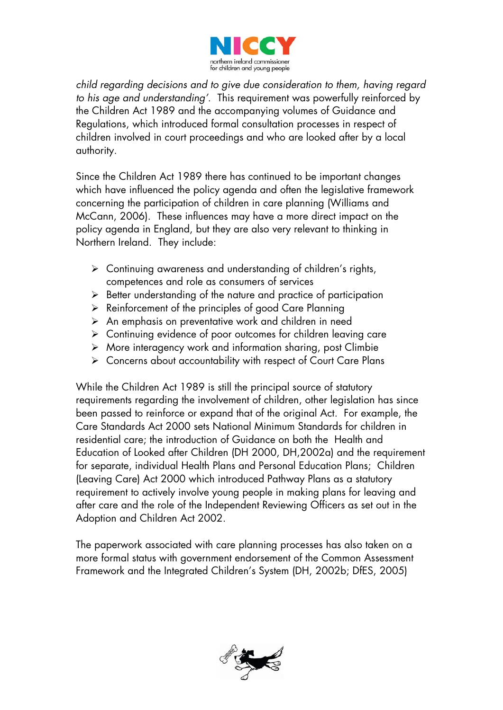

*child regarding decisions and to give due consideration to them, having regard to his age and understanding'*. This requirement was powerfully reinforced by the Children Act 1989 and the accompanying volumes of Guidance and Regulations, which introduced formal consultation processes in respect of children involved in court proceedings and who are looked after by a local authority.

Since the Children Act 1989 there has continued to be important changes which have influenced the policy agenda and often the legislative framework concerning the participation of children in care planning (Williams and McCann, 2006). These influences may have a more direct impact on the policy agenda in England, but they are also very relevant to thinking in Northern Ireland. They include:

- $\triangleright$  Continuing awareness and understanding of children's rights, competences and role as consumers of services
- $\triangleright$  Better understanding of the nature and practice of participation
- $\triangleright$  Reinforcement of the principles of good Care Planning
- $\triangleright$  An emphasis on preventative work and children in need
- $\triangleright$  Continuing evidence of poor outcomes for children leaving care
- ¾ More interagency work and information sharing, post Climbie
- ¾ Concerns about accountability with respect of Court Care Plans

While the Children Act 1989 is still the principal source of statutory requirements regarding the involvement of children, other legislation has since been passed to reinforce or expand that of the original Act. For example, the Care Standards Act 2000 sets National Minimum Standards for children in residential care; the introduction of Guidance on both the Health and Education of Looked after Children (DH 2000, DH,2002a) and the requirement for separate, individual Health Plans and Personal Education Plans; Children (Leaving Care) Act 2000 which introduced Pathway Plans as a statutory requirement to actively involve young people in making plans for leaving and after care and the role of the Independent Reviewing Officers as set out in the Adoption and Children Act 2002.

The paperwork associated with care planning processes has also taken on a more formal status with government endorsement of the Common Assessment Framework and the Integrated Children's System (DH, 2002b; DfES, 2005)

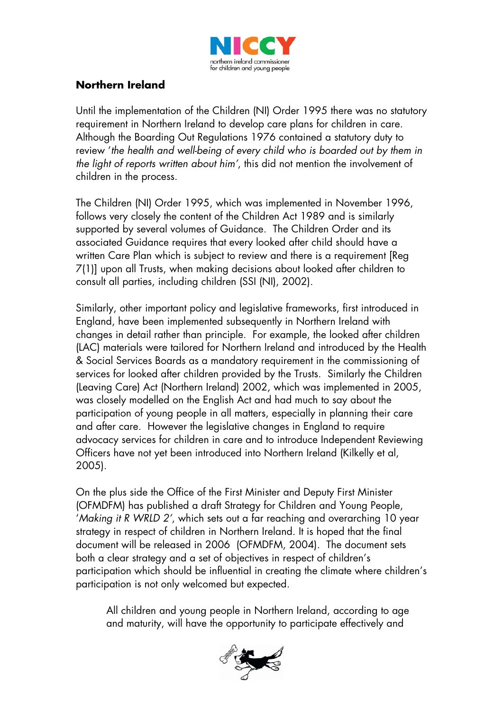

## **Northern Ireland**

Until the implementation of the Children (NI) Order 1995 there was no statutory requirement in Northern Ireland to develop care plans for children in care. Although the Boarding Out Regulations 1976 contained a statutory duty to review '*the health and well-being of every child who is boarded out by them in the light of reports written about him'*, this did not mention the involvement of children in the process.

The Children (NI) Order 1995, which was implemented in November 1996, follows very closely the content of the Children Act 1989 and is similarly supported by several volumes of Guidance. The Children Order and its associated Guidance requires that every looked after child should have a written Care Plan which is subject to review and there is a requirement [Reg 7(1)] upon all Trusts, when making decisions about looked after children to consult all parties, including children (SSI (NI), 2002).

Similarly, other important policy and legislative frameworks, first introduced in England, have been implemented subsequently in Northern Ireland with changes in detail rather than principle. For example, the looked after children (LAC) materials were tailored for Northern Ireland and introduced by the Health & Social Services Boards as a mandatory requirement in the commissioning of services for looked after children provided by the Trusts. Similarly the Children (Leaving Care) Act (Northern Ireland) 2002, which was implemented in 2005, was closely modelled on the English Act and had much to say about the participation of young people in all matters, especially in planning their care and after care. However the legislative changes in England to require advocacy services for children in care and to introduce Independent Reviewing Officers have not yet been introduced into Northern Ireland (Kilkelly et al, 2005).

On the plus side the Office of the First Minister and Deputy First Minister (OFMDFM) has published a draft Strategy for Children and Young People, '*Making it R WRLD 2'*, which sets out a far reaching and overarching 10 year strategy in respect of children in Northern Ireland. It is hoped that the final document will be released in 2006 (OFMDFM, 2004). The document sets both a clear strategy and a set of objectives in respect of children's participation which should be influential in creating the climate where children's participation is not only welcomed but expected.

All children and young people in Northern Ireland, according to age and maturity, will have the opportunity to participate effectively and

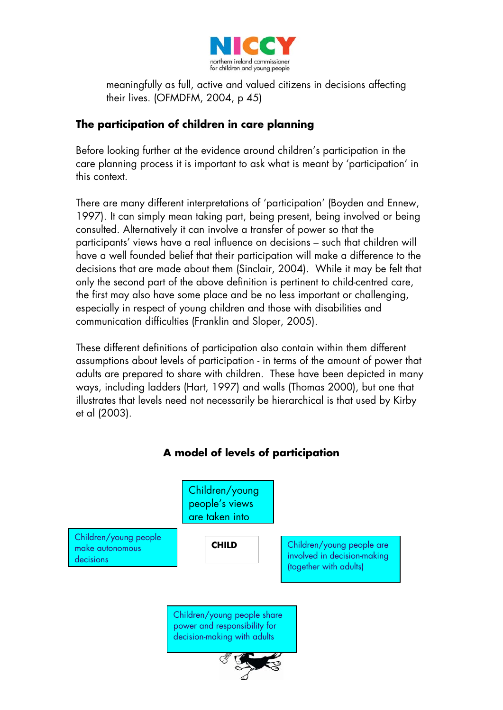

meaningfully as full, active and valued citizens in decisions affecting their lives. (OFMDFM, 2004, p 45)

## **The participation of children in care planning**

Before looking further at the evidence around children's participation in the care planning process it is important to ask what is meant by 'participation' in this context.

There are many different interpretations of 'participation' (Boyden and Ennew, 1997). It can simply mean taking part, being present, being involved or being consulted. Alternatively it can involve a transfer of power so that the participants' views have a real influence on decisions – such that children will have a well founded belief that their participation will make a difference to the decisions that are made about them (Sinclair, 2004). While it may be felt that only the second part of the above definition is pertinent to child-centred care, the first may also have some place and be no less important or challenging, especially in respect of young children and those with disabilities and communication difficulties (Franklin and Sloper, 2005).

These different definitions of participation also contain within them different assumptions about levels of participation - in terms of the amount of power that adults are prepared to share with children. These have been depicted in many ways, including ladders (Hart, 1997) and walls (Thomas 2000), but one that illustrates that levels need not necessarily be hierarchical is that used by Kirby et al (2003).

# **A model of levels of participation**  Children/young people's views are taken into Children/young people make autonomous decisions Children/young people are involved in decision-making (together with adults) **CHILD** Children/young people share power and responsibility for decision-making with adults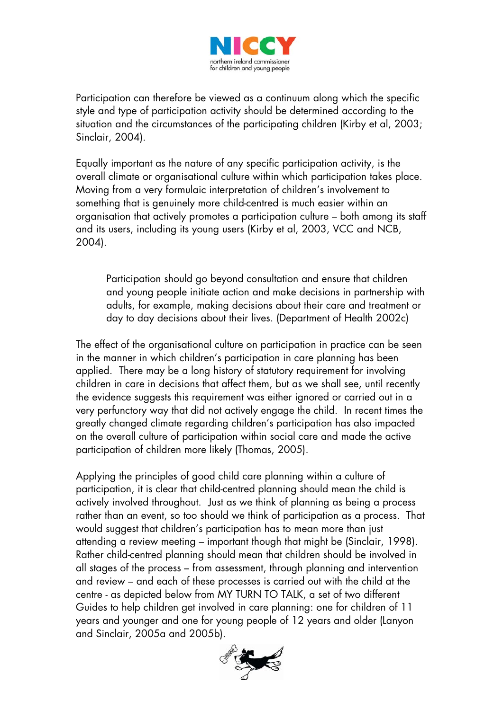

Participation can therefore be viewed as a continuum along which the specific style and type of participation activity should be determined according to the situation and the circumstances of the participating children (Kirby et al, 2003; Sinclair, 2004).

Equally important as the nature of any specific participation activity, is the overall climate or organisational culture within which participation takes place. Moving from a very formulaic interpretation of children's involvement to something that is genuinely more child-centred is much easier within an organisation that actively promotes a participation culture – both among its staff and its users, including its young users (Kirby et al, 2003, VCC and NCB, 2004).

Participation should go beyond consultation and ensure that children and young people initiate action and make decisions in partnership with adults, for example, making decisions about their care and treatment or day to day decisions about their lives. (Department of Health 2002c)

The effect of the organisational culture on participation in practice can be seen in the manner in which children's participation in care planning has been applied. There may be a long history of statutory requirement for involving children in care in decisions that affect them, but as we shall see, until recently the evidence suggests this requirement was either ignored or carried out in a very perfunctory way that did not actively engage the child. In recent times the greatly changed climate regarding children's participation has also impacted on the overall culture of participation within social care and made the active participation of children more likely (Thomas, 2005).

Applying the principles of good child care planning within a culture of participation, it is clear that child-centred planning should mean the child is actively involved throughout.Just as we think of planning as being a process rather than an event, so too should we think of participation as a process. That would suggest that children's participation has to mean more than just attending a review meeting – important though that might be (Sinclair, 1998). Rather child-centred planning should mean that children should be involved in all stages of the process – from assessment, through planning and intervention and review – and each of these processes is carried out with the child at the centre - as depicted below from MY TURN TO TALK, a set of two different Guides to help children get involved in care planning: one for children of 11 years and younger and one for young people of 12 years and older (Lanyon and Sinclair, 2005a and 2005b).

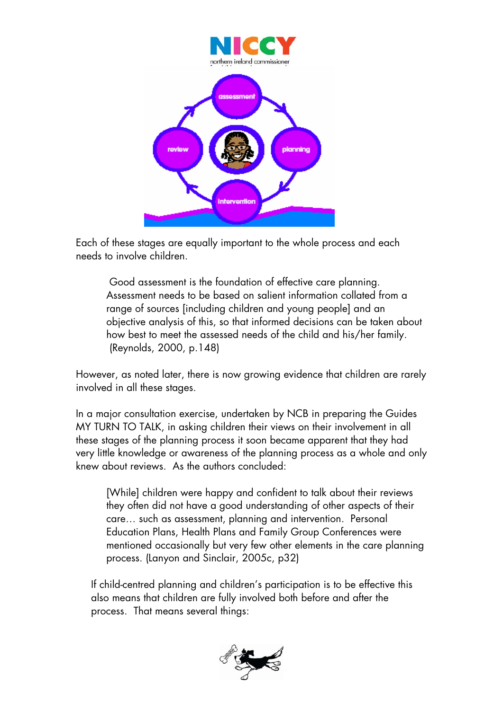

Each of these stages are equally important to the whole process and each needs to involve children.

 Good assessment is the foundation of effective care planning. Assessment needs to be based on salient information collated from a range of sources [including children and young people] and an objective analysis of this, so that informed decisions can be taken about how best to meet the assessed needs of the child and his/her family. (Reynolds, 2000, p.148)

However, as noted later, there is now growing evidence that children are rarely involved in all these stages.

In a major consultation exercise, undertaken by NCB in preparing the Guides MY TURN TO TALK, in asking children their views on their involvement in all these stages of the planning process it soon became apparent that they had very little knowledge or awareness of the planning process as a whole and only knew about reviews. As the authors concluded:

[While] children were happy and confident to talk about their reviews they often did not have a good understanding of other aspects of their care… such as assessment, planning and intervention. Personal Education Plans, Health Plans and Family Group Conferences were mentioned occasionally but very few other elements in the care planning process. (Lanyon and Sinclair, 2005c, p32)

If child-centred planning and children's participation is to be effective this also means that children are fully involved both before and after the process. That means several things:

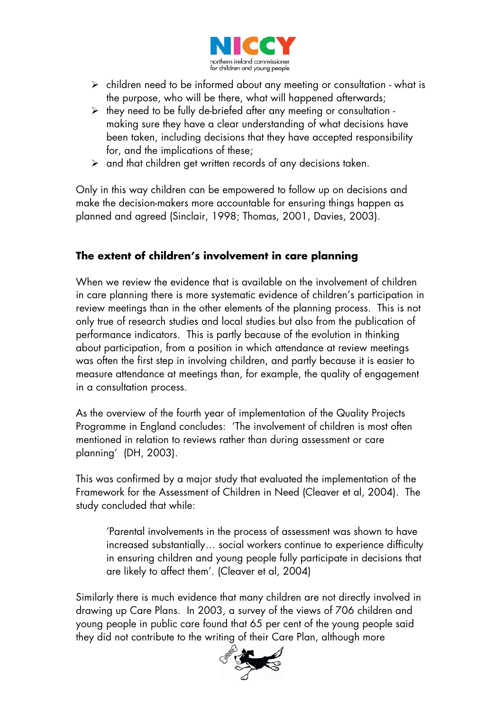

- $\triangleright$  children need to be informed about any meeting or consultation what is the purpose, who will be there, what will happened afterwards;
- $\triangleright$  they need to be fully de-briefed after any meeting or consultation making sure they have a clear understanding of what decisions have been taken, including decisions that they have accepted responsibility for, and the implications of these;
- $\triangleright$  and that children get written records of any decisions taken.

Only in this way children can be empowered to follow up on decisions and make the decision-makers more accountable for ensuring things happen as planned and agreed (Sinclair, 1998; Thomas, 2001, Davies, 2003).

## **The extent of children's involvement in care planning**

When we review the evidence that is available on the involvement of children in care planning there is more systematic evidence of children's participation in review meetings than in the other elements of the planning process. This is not only true of research studies and local studies but also from the publication of performance indicators. This is partly because of the evolution in thinking about participation, from a position in which attendance at review meetings was often the first step in involving children, and partly because it is easier to measure attendance at meetings than, for example, the quality of engagement in a consultation process.

As the overview of the fourth year of implementation of the Quality Projects Programme in England concludes: 'The involvement of children is most often mentioned in relation to reviews rather than during assessment or care planning' (DH, 2003).

This was confirmed by a major study that evaluated the implementation of the Framework for the Assessment of Children in Need (Cleaver et al, 2004). The study concluded that while:

'Parental involvements in the process of assessment was shown to have increased substantially… social workers continue to experience difficulty in ensuring children and young people fully participate in decisions that are likely to affect them'. (Cleaver et al, 2004)

Similarly there is much evidence that many children are not directly involved in drawing up Care Plans. In 2003, a survey of the views of 706 children and young people in public care found that 65 per cent of the young people said they did not contribute to the writing of their Care Plan, although more

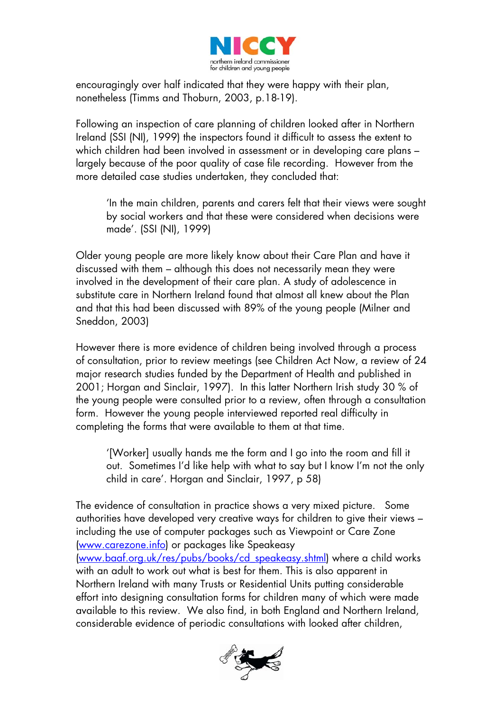

encouragingly over half indicated that they were happy with their plan, nonetheless (Timms and Thoburn, 2003, p.18-19).

Following an inspection of care planning of children looked after in Northern Ireland (SSI (NI), 1999) the inspectors found it difficult to assess the extent to which children had been involved in assessment or in developing care plans largely because of the poor quality of case file recording. However from the more detailed case studies undertaken, they concluded that:

'In the main children, parents and carers felt that their views were sought by social workers and that these were considered when decisions were made'. (SSI (NI), 1999)

Older young people are more likely know about their Care Plan and have it discussed with them – although this does not necessarily mean they were involved in the development of their care plan. A study of adolescence in substitute care in Northern Ireland found that almost all knew about the Plan and that this had been discussed with 89% of the young people (Milner and Sneddon, 2003)

However there is more evidence of children being involved through a process of consultation, prior to review meetings (see Children Act Now, a review of 24 major research studies funded by the Department of Health and published in 2001; Horgan and Sinclair, 1997). In this latter Northern Irish study 30 % of the young people were consulted prior to a review, often through a consultation form. However the young people interviewed reported real difficulty in completing the forms that were available to them at that time.

'[Worker] usually hands me the form and I go into the room and fill it out. Sometimes I'd like help with what to say but I know I'm not the only child in care'. Horgan and Sinclair, 1997, p 58)

The evidence of consultation in practice shows a very mixed picture. Some authorities have developed very creative ways for children to give their views – including the use of computer packages such as Viewpoint or Care Zone [\(www.carezone.info\)](http://www.carezone.info/) or packages like Speakeasy [\(www.baaf.org.uk/res/pubs/books/cd\\_speakeasy.shtml](http://www.baaf.org.uk/res/pubs/books/cd_speakeasy.shtml)) where a child works with an adult to work out what is best for them. This is also apparent in Northern Ireland with many Trusts or Residential Units putting considerable effort into designing consultation forms for children many of which were made available to this review. We also find, in both England and Northern Ireland, considerable evidence of periodic consultations with looked after children,

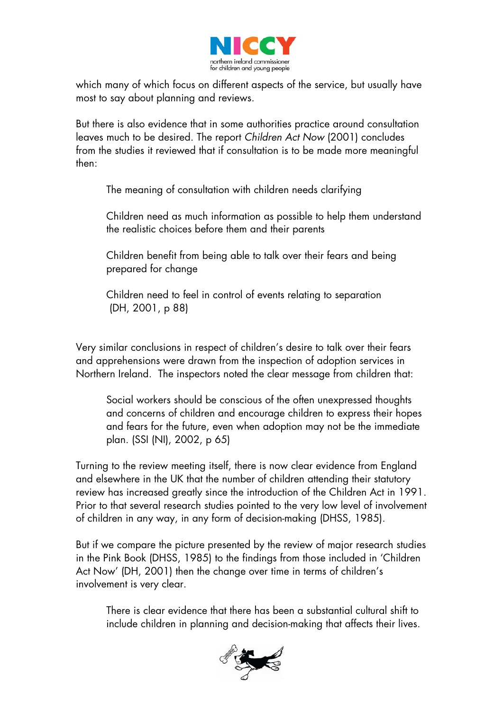

which many of which focus on different aspects of the service, but usually have most to say about planning and reviews.

But there is also evidence that in some authorities practice around consultation leaves much to be desired. The report *Children Act Now* (2001) concludes from the studies it reviewed that if consultation is to be made more meaningful then:

The meaning of consultation with children needs clarifying

Children need as much information as possible to help them understand the realistic choices before them and their parents

Children benefit from being able to talk over their fears and being prepared for change

Children need to feel in control of events relating to separation (DH, 2001, p 88)

Very similar conclusions in respect of children's desire to talk over their fears and apprehensions were drawn from the inspection of adoption services in Northern Ireland. The inspectors noted the clear message from children that:

Social workers should be conscious of the often unexpressed thoughts and concerns of children and encourage children to express their hopes and fears for the future, even when adoption may not be the immediate plan. (SSI (NI), 2002, p 65)

Turning to the review meeting itself, there is now clear evidence from England and elsewhere in the UK that the number of children attending their statutory review has increased greatly since the introduction of the Children Act in 1991. Prior to that several research studies pointed to the very low level of involvement of children in any way, in any form of decision-making (DHSS, 1985).

But if we compare the picture presented by the review of major research studies in the Pink Book (DHSS, 1985) to the findings from those included in 'Children Act Now' (DH, 2001) then the change over time in terms of children's involvement is very clear.

There is clear evidence that there has been a substantial cultural shift to include children in planning and decision-making that affects their lives.

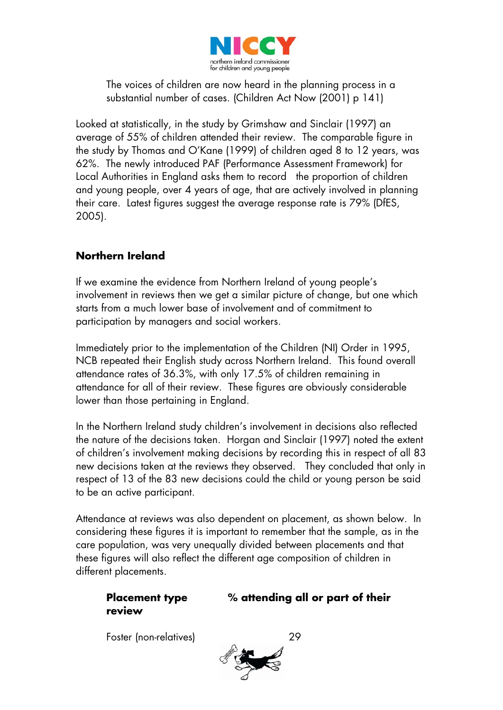

The voices of children are now heard in the planning process in a substantial number of cases. (Children Act Now (2001) p 141)

Looked at statistically, in the study by Grimshaw and Sinclair (1997) an average of 55% of children attended their review. The comparable figure in the study by Thomas and O'Kane (1999) of children aged 8 to 12 years, was 62%. The newly introduced PAF (Performance Assessment Framework) for Local Authorities in England asks them to record the proportion of children and young people, over 4 years of age, that are actively involved in planning their care. Latest figures suggest the average response rate is 79% (DfES, 2005).

## **Northern Ireland**

If we examine the evidence from Northern Ireland of young people's involvement in reviews then we get a similar picture of change, but one which starts from a much lower base of involvement and of commitment to participation by managers and social workers.

Immediately prior to the implementation of the Children (NI) Order in 1995, NCB repeated their English study across Northern Ireland. This found overall attendance rates of 36.3%, with only 17.5% of children remaining in attendance for all of their review. These figures are obviously considerable lower than those pertaining in England.

In the Northern Ireland study children's involvement in decisions also reflected the nature of the decisions taken. Horgan and Sinclair (1997) noted the extent of children's involvement making decisions by recording this in respect of all 83 new decisions taken at the reviews they observed. They concluded that only in respect of 13 of the 83 new decisions could the child or young person be said to be an active participant.

Attendance at reviews was also dependent on placement, as shown below. In considering these figures it is important to remember that the sample, as in the care population, was very unequally divided between placements and that these figures will also reflect the different age composition of children in different placements.

# **review**

**Placement type % attending all or part of their** 

Foster (non-relatives) 29

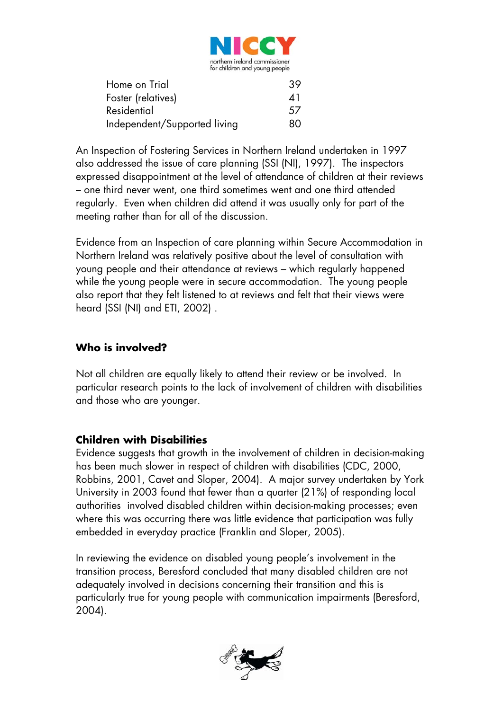

| Home on Trial                | 39. |
|------------------------------|-----|
| Foster (relatives)           | 41  |
| Residential                  | 57  |
| Independent/Supported living | 80  |

An Inspection of Fostering Services in Northern Ireland undertaken in 1997 also addressed the issue of care planning (SSI (NI), 1997). The inspectors expressed disappointment at the level of attendance of children at their reviews – one third never went, one third sometimes went and one third attended regularly. Even when children did attend it was usually only for part of the meeting rather than for all of the discussion.

Evidence from an Inspection of care planning within Secure Accommodation in Northern Ireland was relatively positive about the level of consultation with young people and their attendance at reviews – which regularly happened while the young people were in secure accommodation. The young people also report that they felt listened to at reviews and felt that their views were heard (SSI (NI) and ETI, 2002) .

## **Who is involved?**

Not all children are equally likely to attend their review or be involved. In particular research points to the lack of involvement of children with disabilities and those who are younger.

#### **Children with Disabilities**

Evidence suggests that growth in the involvement of children in decision-making has been much slower in respect of children with disabilities (CDC, 2000, Robbins, 2001, Cavet and Sloper, 2004). A major survey undertaken by York University in 2003 found that fewer than a quarter (21%) of responding local authorities involved disabled children within decision-making processes; even where this was occurring there was little evidence that participation was fully embedded in everyday practice (Franklin and Sloper, 2005).

In reviewing the evidence on disabled young people's involvement in the transition process, Beresford concluded that many disabled children are not adequately involved in decisions concerning their transition and this is particularly true for young people with communication impairments (Beresford, 2004).

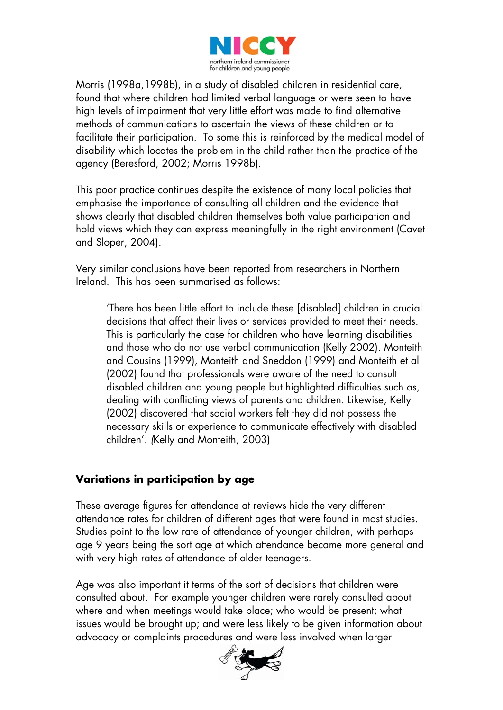

Morris (1998a,1998b), in a study of disabled children in residential care, found that where children had limited verbal language or were seen to have high levels of impairment that very little effort was made to find alternative methods of communications to ascertain the views of these children or to facilitate their participation. To some this is reinforced by the medical model of disability which locates the problem in the child rather than the practice of the agency (Beresford, 2002; Morris 1998b).

This poor practice continues despite the existence of many local policies that emphasise the importance of consulting all children and the evidence that shows clearly that disabled children themselves both value participation and hold views which they can express meaningfully in the right environment (Cavet and Sloper, 2004).

Very similar conclusions have been reported from researchers in Northern Ireland. This has been summarised as follows:

'There has been little effort to include these [disabled] children in crucial decisions that affect their lives or services provided to meet their needs. This is particularly the case for children who have learning disabilities and those who do not use verbal communication (Kelly 2002). Monteith and Cousins (1999), Monteith and Sneddon (1999) and Monteith et al (2002) found that professionals were aware of the need to consult disabled children and young people but highlighted difficulties such as, dealing with conflicting views of parents and children. Likewise, Kelly (2002) discovered that social workers felt they did not possess the necessary skills or experience to communicate effectively with disabled children'. *(*Kelly and Monteith, 2003)

#### **Variations in participation by age**

These average figures for attendance at reviews hide the very different attendance rates for children of different ages that were found in most studies. Studies point to the low rate of attendance of younger children, with perhaps age 9 years being the sort age at which attendance became more general and with very high rates of attendance of older teenagers.

Age was also important it terms of the sort of decisions that children were consulted about. For example younger children were rarely consulted about where and when meetings would take place; who would be present; what issues would be brought up; and were less likely to be given information about advocacy or complaints procedures and were less involved when larger

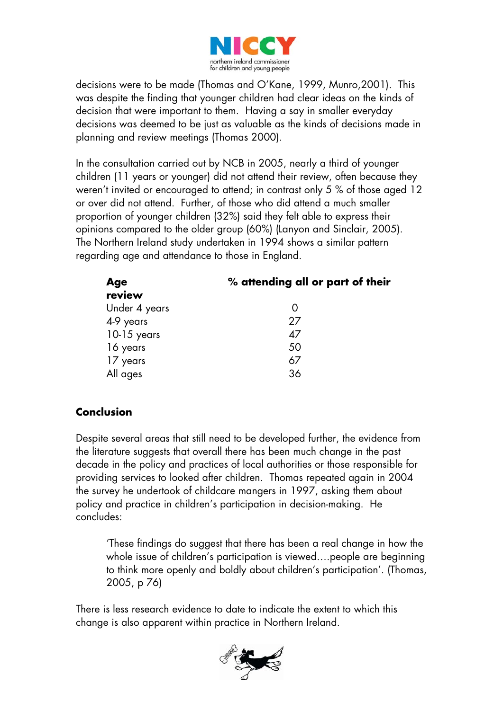

decisions were to be made (Thomas and O'Kane, 1999, Munro,2001). This was despite the finding that younger children had clear ideas on the kinds of decision that were important to them. Having a say in smaller everyday decisions was deemed to be just as valuable as the kinds of decisions made in planning and review meetings (Thomas 2000).

In the consultation carried out by NCB in 2005, nearly a third of younger children (11 years or younger) did not attend their review, often because they weren't invited or encouraged to attend; in contrast only 5 % of those aged 12 or over did not attend. Further, of those who did attend a much smaller proportion of younger children (32%) said they felt able to express their opinions compared to the older group (60%) (Lanyon and Sinclair, 2005). The Northern Ireland study undertaken in 1994 shows a similar pattern regarding age and attendance to those in England.

| Age           | % attending all or part of their |  |
|---------------|----------------------------------|--|
| review        |                                  |  |
| Under 4 years |                                  |  |
| 4-9 years     | 27                               |  |
| $10-15$ years | 47                               |  |
| 16 years      | 50                               |  |
| 17 years      | 67                               |  |
| All ages      | 36                               |  |

## **Conclusion**

Despite several areas that still need to be developed further, the evidence from the literature suggests that overall there has been much change in the past decade in the policy and practices of local authorities or those responsible for providing services to looked after children. Thomas repeated again in 2004 the survey he undertook of childcare mangers in 1997, asking them about policy and practice in children's participation in decision-making. He concludes:

'These findings do suggest that there has been a real change in how the whole issue of children's participation is viewed….people are beginning to think more openly and boldly about children's participation'. (Thomas, 2005, p 76)

There is less research evidence to date to indicate the extent to which this change is also apparent within practice in Northern Ireland.

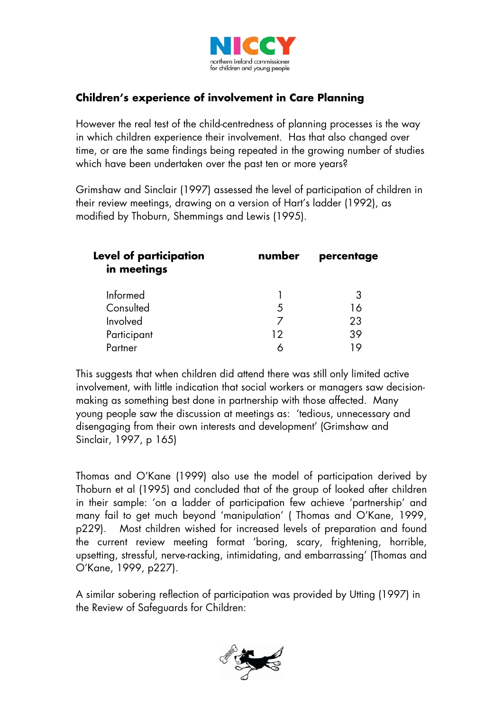

## **Children's experience of involvement in Care Planning**

However the real test of the child-centredness of planning processes is the way in which children experience their involvement. Has that also changed over time, or are the same findings being repeated in the growing number of studies which have been undertaken over the past ten or more years?

Grimshaw and Sinclair (1997) assessed the level of participation of children in their review meetings, drawing on a version of Hart's ladder (1992), as modified by Thoburn, Shemmings and Lewis (1995).

| <b>Level of participation</b><br>in meetings | number | percentage |
|----------------------------------------------|--------|------------|
| Informed                                     |        |            |
| Consulted                                    | 5      | 16         |
| Involved                                     |        | 23         |
| Participant                                  | 12     | 39         |
| Partner                                      |        | I O        |

This suggests that when children did attend there was still only limited active involvement, with little indication that social workers or managers saw decisionmaking as something best done in partnership with those affected. Many young people saw the discussion at meetings as: 'tedious, unnecessary and disengaging from their own interests and development' (Grimshaw and Sinclair, 1997, p 165)

Thomas and O'Kane (1999) also use the model of participation derived by Thoburn et al (1995) and concluded that of the group of looked after children in their sample: 'on a ladder of participation few achieve 'partnership' and many fail to get much beyond 'manipulation' ( Thomas and O'Kane, 1999, p229). Most children wished for increased levels of preparation and found the current review meeting format 'boring, scary, frightening, horrible, upsetting, stressful, nerve-racking, intimidating, and embarrassing' (Thomas and O'Kane, 1999, p227).

A similar sobering reflection of participation was provided by Utting (1997) in the Review of Safeguards for Children:

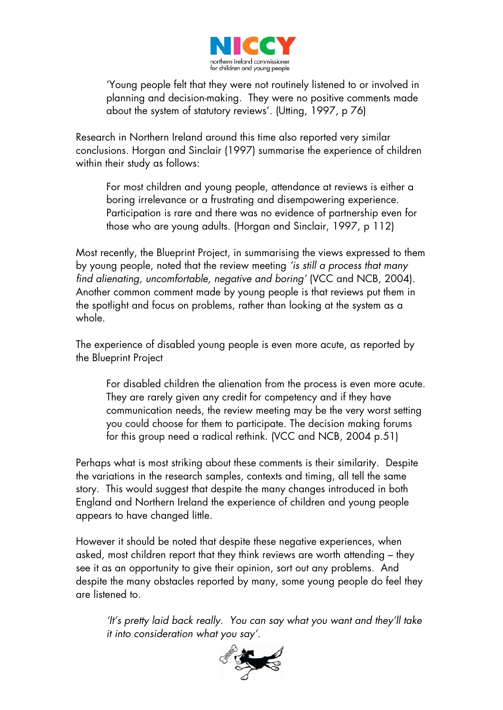

'Young people felt that they were not routinely listened to or involved in planning and decision-making. They were no positive comments made about the system of statutory reviews'. (Utting, 1997, p 76)

Research in Northern Ireland around this time also reported very similar conclusions. Horgan and Sinclair (1997) summarise the experience of children within their study as follows:

For most children and young people, attendance at reviews is either a boring irrelevance or a frustrating and disempowering experience. Participation is rare and there was no evidence of partnership even for those who are young adults. (Horgan and Sinclair, 1997, p 112)

Most recently, the Blueprint Project, in summarising the views expressed to them by young people, noted that the review meeting *'is still a process that many find alienating, uncomfortable, negative and boring'* (VCC and NCB, 2004). Another common comment made by young people is that reviews put them in the spotlight and focus on problems, rather than looking at the system as a whole.

The experience of disabled young people is even more acute, as reported by the Blueprint Project

For disabled children the alienation from the process is even more acute. They are rarely given any credit for competency and if they have communication needs, the review meeting may be the very worst setting you could choose for them to participate. The decision making forums for this group need a radical rethink. (VCC and NCB, 2004 p.51)

Perhaps what is most striking about these comments is their similarity. Despite the variations in the research samples, contexts and timing, all tell the same story. This would suggest that despite the many changes introduced in both England and Northern Ireland the experience of children and young people appears to have changed little.

However it should be noted that despite these negative experiences, when asked, most children report that they think reviews are worth attending – they see it as an opportunity to give their opinion, sort out any problems. And despite the many obstacles reported by many, some young people do feel they are listened to.

*'It's pretty laid back really. You can say what you want and they'll take it into consideration what you say'.* 

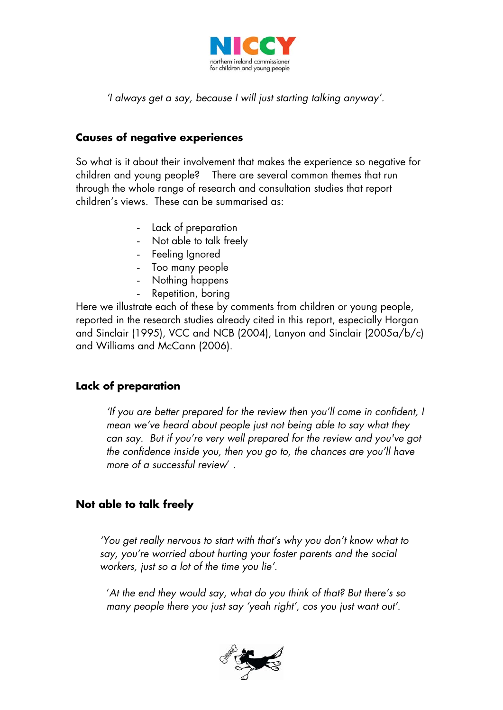

*'I always get a say, because I will just starting talking anyway'.* 

#### **Causes of negative experiences**

So what is it about their involvement that makes the experience so negative for children and young people? There are several common themes that run through the whole range of research and consultation studies that report children's views. These can be summarised as:

- Lack of preparation
- Not able to talk freely
- Feeling Ignored
- Too many people
- Nothing happens
	- Repetition, boring

Here we illustrate each of these by comments from children or young people, reported in the research studies already cited in this report, especially Horgan and Sinclair (1995), VCC and NCB (2004), Lanyon and Sinclair (2005a/b/c) and Williams and McCann (2006).

## **Lack of preparation**

*'If you are better prepared for the review then you'll come in confident, I mean we've heard about people just not being able to say what they can say. But if you're very well prepared for the review and you've got the confidence inside you, then you go to, the chances are you'll have more of a successful review*' .

## **Not able to talk freely**

*'You get really nervous to start with that's why you don't know what to say, you're worried about hurting your foster parents and the social workers, just so a lot of the time you lie'.* 

'*At the end they would say, what do you think of that? But there's so many people there you just say 'yeah right', cos you just want out'*.

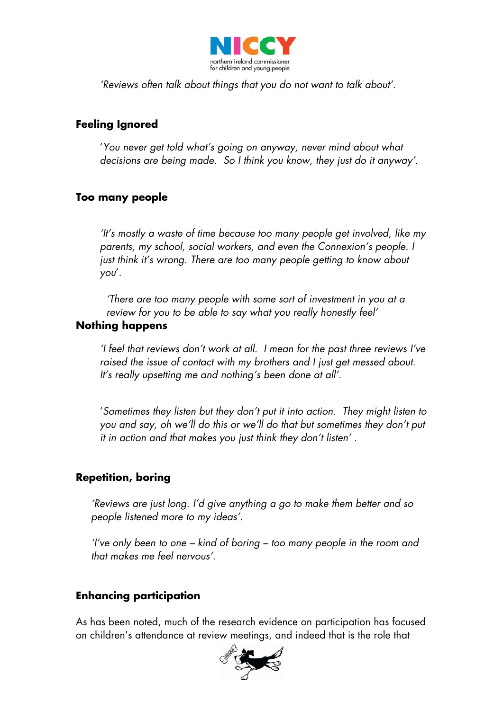

*'Reviews often talk about things that you do not want to talk about'.* 

#### **Feeling Ignored**

'*You never get told what's going on anyway, never mind about what decisions are being made. So I think you know, they just do it anyway'*.

#### **Too many people**

*'It's mostly a waste of time because too many people get involved, like my parents, my school, social workers, and even the Connexion's people. I just think it's wrong. There are too many people getting to know about you*'.

*'There are too many people with some sort of investment in you at a review for you to be able to say what you really honestly feel'* 

#### **Nothing happens**

*'I feel that reviews don't work at all. I mean for the past three reviews I've raised the issue of contact with my brothers and I just get messed about. It's really upsetting me and nothing's been done at all'.* 

'*Sometimes they listen but they don't put it into action. They might listen to you and say, oh we'll do this or we'll do that but sometimes they don't put it in action and that makes you just think they don't listen'* .

#### **Repetition, boring**

*'Reviews are just long. I'd give anything a go to make them better and so people listened more to my ideas'.* 

*'I've only been to one – kind of boring – too many people in the room and that makes me feel nervous'.*

#### **Enhancing participation**

As has been noted, much of the research evidence on participation has focused on children's attendance at review meetings, and indeed that is the role that

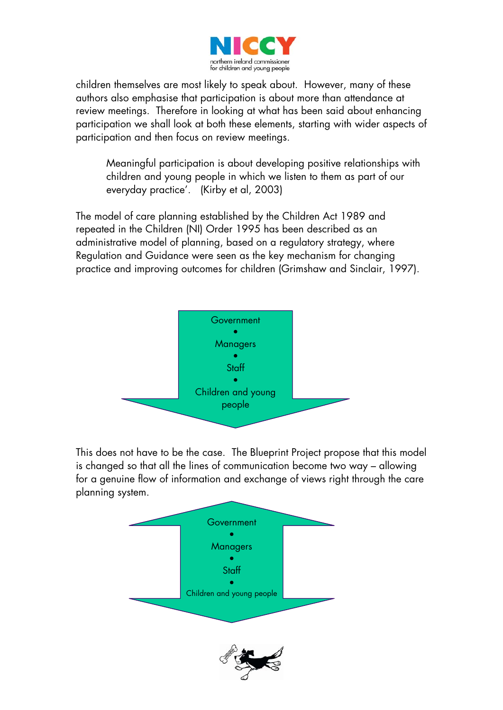

children themselves are most likely to speak about. However, many of these authors also emphasise that participation is about more than attendance at review meetings. Therefore in looking at what has been said about enhancing participation we shall look at both these elements, starting with wider aspects of participation and then focus on review meetings.

Meaningful participation is about developing positive relationships with children and young people in which we listen to them as part of our everyday practice'. (Kirby et al, 2003)

The model of care planning established by the Children Act 1989 and repeated in the Children (NI) Order 1995 has been described as an administrative model of planning, based on a regulatory strategy, where Regulation and Guidance were seen as the key mechanism for changing practice and improving outcomes for children (Grimshaw and Sinclair, 1997).



This does not have to be the case. The Blueprint Project propose that this model is changed so that all the lines of communication become two way – allowing for a genuine flow of information and exchange of views right through the care planning system.

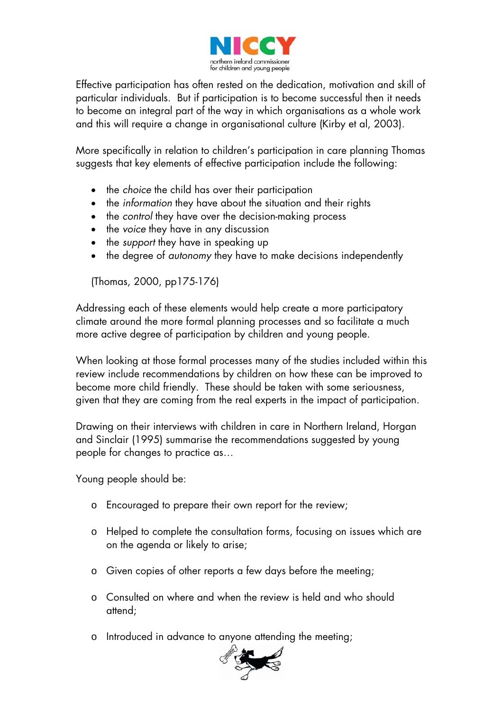

Effective participation has often rested on the dedication, motivation and skill of particular individuals. But if participation is to become successful then it needs to become an integral part of the way in which organisations as a whole work and this will require a change in organisational culture (Kirby et al, 2003).

More specifically in relation to children's participation in care planning Thomas suggests that key elements of effective participation include the following:

- the *choice* the child has over their participation
- the *information* they have about the situation and their rights
- the *control* they have over the decision-making process
- the *voice* they have in any discussion
- the *support* they have in speaking up
- the degree of *autonomy* they have to make decisions independently

(Thomas, 2000, pp175-176)

Addressing each of these elements would help create a more participatory climate around the more formal planning processes and so facilitate a much more active degree of participation by children and young people.

When looking at those formal processes many of the studies included within this review include recommendations by children on how these can be improved to become more child friendly. These should be taken with some seriousness, given that they are coming from the real experts in the impact of participation.

Drawing on their interviews with children in care in Northern Ireland, Horgan and Sinclair (1995) summarise the recommendations suggested by young people for changes to practice as…

Young people should be:

- o Encouraged to prepare their own report for the review;
- o Helped to complete the consultation forms, focusing on issues which are on the agenda or likely to arise;
- o Given copies of other reports a few days before the meeting;
- o Consulted on where and when the review is held and who should attend;
- o Introduced in advance to anyone attending the meeting;

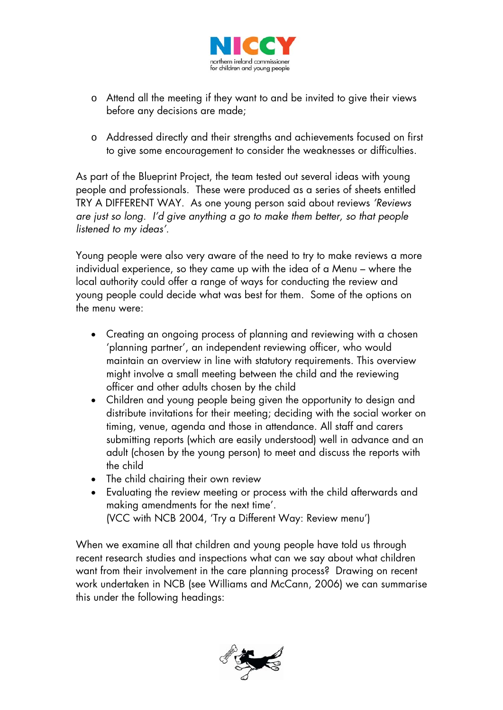

- o Attend all the meeting if they want to and be invited to give their views before any decisions are made;
- o Addressed directly and their strengths and achievements focused on first to give some encouragement to consider the weaknesses or difficulties.

As part of the Blueprint Project, the team tested out several ideas with young people and professionals. These were produced as a series of sheets entitled TRY A DIFFERENT WAY. As one young person said about reviews *'Reviews are just so long. I'd give anything a go to make them better, so that people listened to my ideas'.* 

Young people were also very aware of the need to try to make reviews a more individual experience, so they came up with the idea of a Menu – where the local authority could offer a range of ways for conducting the review and young people could decide what was best for them. Some of the options on the menu were:

- Creating an ongoing process of planning and reviewing with a chosen 'planning partner', an independent reviewing officer, who would maintain an overview in line with statutory requirements. This overview might involve a small meeting between the child and the reviewing officer and other adults chosen by the child
- Children and young people being given the opportunity to design and distribute invitations for their meeting; deciding with the social worker on timing, venue, agenda and those in attendance. All staff and carers submitting reports (which are easily understood) well in advance and an adult (chosen by the young person) to meet and discuss the reports with the child
- The child chairing their own review
- Evaluating the review meeting or process with the child afterwards and making amendments for the next time'. (VCC with NCB 2004, 'Try a Different Way: Review menu')

When we examine all that children and young people have told us through recent research studies and inspections what can we say about what children want from their involvement in the care planning process? Drawing on recent work undertaken in NCB (see Williams and McCann, 2006) we can summarise this under the following headings:

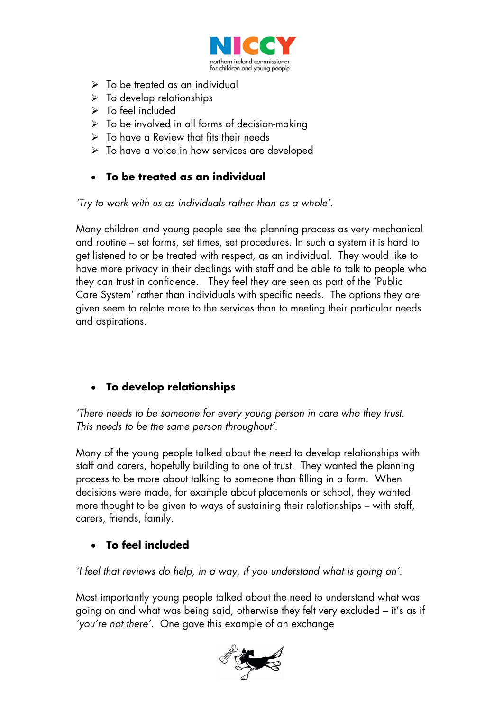

- $\triangleright$  To be treated as an individual
- $\triangleright$  To develop relationships
- $\triangleright$  To feel included
- $\triangleright$  To be involved in all forms of decision-making
- $\triangleright$  To have a Review that fits their needs
- ¾ To have a voice in how services are developed

# • **To be treated as an individual**

*'Try to work with us as individuals rather than as a whole'.* 

Many children and young people see the planning process as very mechanical and routine – set forms, set times, set procedures. In such a system it is hard to get listened to or be treated with respect, as an individual. They would like to have more privacy in their dealings with staff and be able to talk to people who they can trust in confidence. They feel they are seen as part of the 'Public Care System' rather than individuals with specific needs. The options they are given seem to relate more to the services than to meeting their particular needs and aspirations.

# • **To develop relationships**

*'There needs to be someone for every young person in care who they trust. This needs to be the same person throughout'*.

Many of the young people talked about the need to develop relationships with staff and carers, hopefully building to one of trust. They wanted the planning process to be more about talking to someone than filling in a form. When decisions were made, for example about placements or school, they wanted more thought to be given to ways of sustaining their relationships – with staff, carers, friends, family.

# • **To feel included**

*'I feel that reviews do help, in a way, if you understand what is going on'.* 

Most importantly young people talked about the need to understand what was going on and what was being said, otherwise they felt very excluded – it's as if *'you're not there'*. One gave this example of an exchange

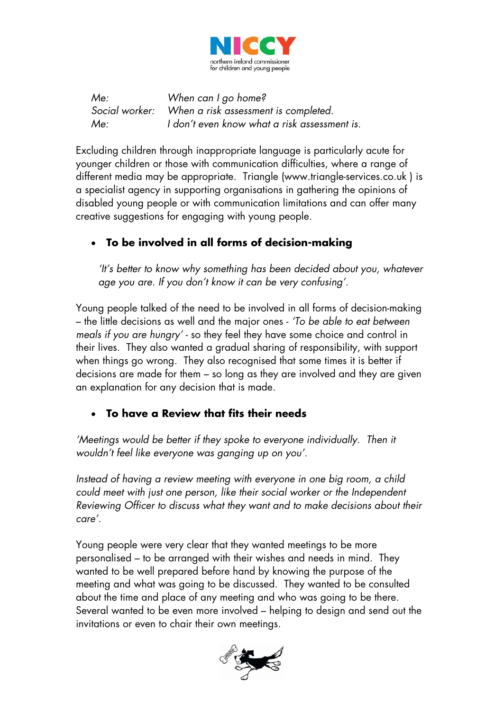

*Me: When can I go home? Social worker: When a risk assessment is completed. Me: I don't even know what a risk assessment is.* 

Excluding children through inappropriate language is particularly acute for younger children or those with communication difficulties, where a range of different media may be appropriate. Triangle (www.triangle-services.co.uk ) is a specialist agency in supporting organisations in gathering the opinions of disabled young people or with communication limitations and can offer many creative suggestions for engaging with young people.

# • **To be involved in all forms of decision-making**

*'It's better to know why something has been decided about you, whatever age you are. If you don't know it can be very confusing'.* 

Young people talked of the need to be involved in all forms of decision-making – the little decisions as well and the major ones - *'To be able to eat between meals if you are hungry'* - so they feel they have some choice and control in their lives. They also wanted a gradual sharing of responsibility, with support when things go wrong. They also recognised that some times it is better if decisions are made for them – so long as they are involved and they are given an explanation for any decision that is made.

## • **To have a Review that fits their needs**

'Meetings would be better if they spoke to everyone individually. Then it *wouldn't feel like everyone was ganging up on you'.* 

*Instead of having a review meeting with everyone in one big room, a child could meet with just one person, like their social worker or the Independent Reviewing Officer to discuss what they want and to make decisions about their care'.* 

Young people were very clear that they wanted meetings to be more personalised – to be arranged with their wishes and needs in mind. They wanted to be well prepared before hand by knowing the purpose of the meeting and what was going to be discussed. They wanted to be consulted about the time and place of any meeting and who was going to be there. Several wanted to be even more involved – helping to design and send out the invitations or even to chair their own meetings.

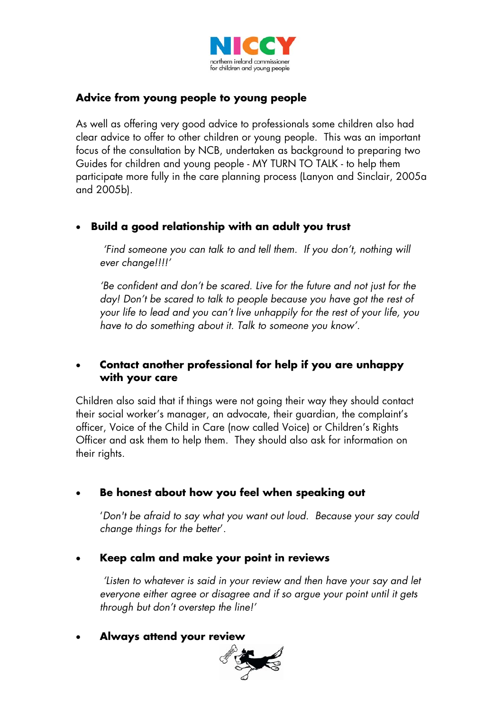

## **Advice from young people to young people**

As well as offering very good advice to professionals some children also had clear advice to offer to other children or young people. This was an important focus of the consultation by NCB, undertaken as background to preparing two Guides for children and young people - MY TURN TO TALK - to help them participate more fully in the care planning process (Lanyon and Sinclair, 2005a and 2005b).

## • **Build a good relationship with an adult you trust**

 *'Find someone you can talk to and tell them. If you don't, nothing will ever change!!!!'* 

*'Be confident and don't be scared. Live for the future and not just for the day! Don't be scared to talk to people because you have got the rest of your life to lead and you can't live unhappily for the rest of your life, you have to do something about it. Talk to someone you know'.* 

## • **Contact another professional for help if you are unhappy with your care**

Children also said that if things were not going their way they should contact their social worker's manager, an advocate, their guardian, the complaint's officer, Voice of the Child in Care (now called Voice) or Children's Rights Officer and ask them to help them. They should also ask for information on their rights.

## • **Be honest about how you feel when speaking out**

'*Don't be afraid to say what you want out loud. Because your say could change things for the better*'.

#### • **Keep calm and make your point in reviews**

*'Listen to whatever is said in your review and then have your say and let everyone either agree or disagree and if so argue your point until it gets through but don't overstep the line!'* 

#### • **Always attend your review**

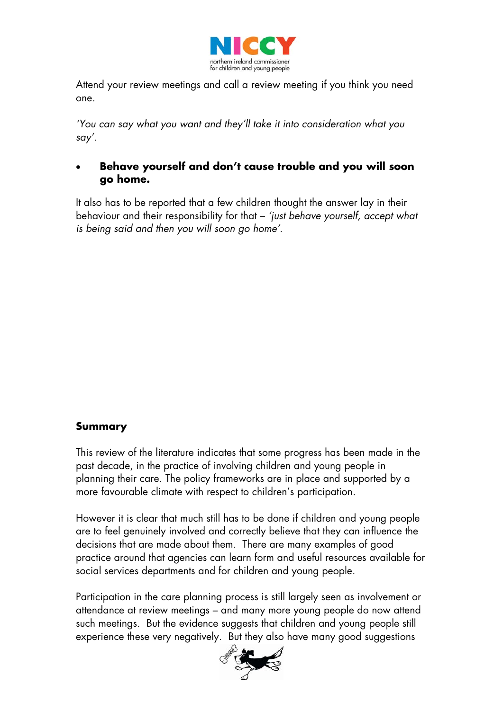

Attend your review meetings and call a review meeting if you think you need one.

*'You can say what you want and they'll take it into consideration what you say'.* 

## • **Behave yourself and don't cause trouble and you will soon go home.**

It also has to be reported that a few children thought the answer lay in their behaviour and their responsibility for that – *'just behave yourself, accept what is being said and then you will soon go home'*.

#### **Summary**

This review of the literature indicates that some progress has been made in the past decade, in the practice of involving children and young people in planning their care. The policy frameworks are in place and supported by a more favourable climate with respect to children's participation.

However it is clear that much still has to be done if children and young people are to feel genuinely involved and correctly believe that they can influence the decisions that are made about them. There are many examples of good practice around that agencies can learn form and useful resources available for social services departments and for children and young people.

Participation in the care planning process is still largely seen as involvement or attendance at review meetings – and many more young people do now attend such meetings. But the evidence suggests that children and young people still experience these very negatively. But they also have many good suggestions

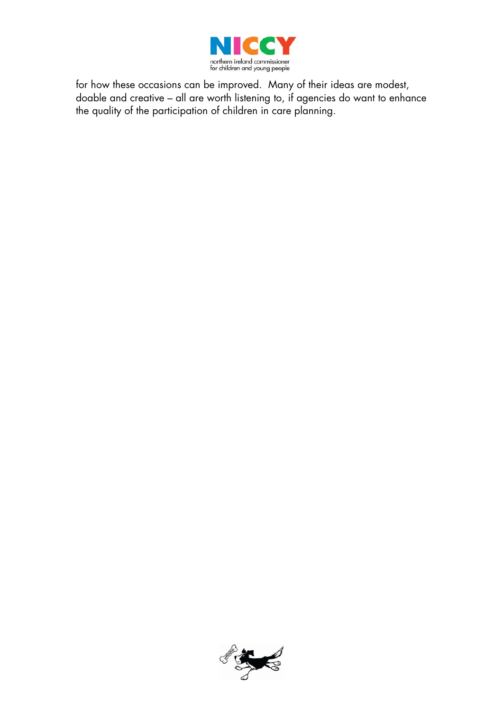

for how these occasions can be improved. Many of their ideas are modest, doable and creative – all are worth listening to, if agencies do want to enhance the quality of the participation of children in care planning.

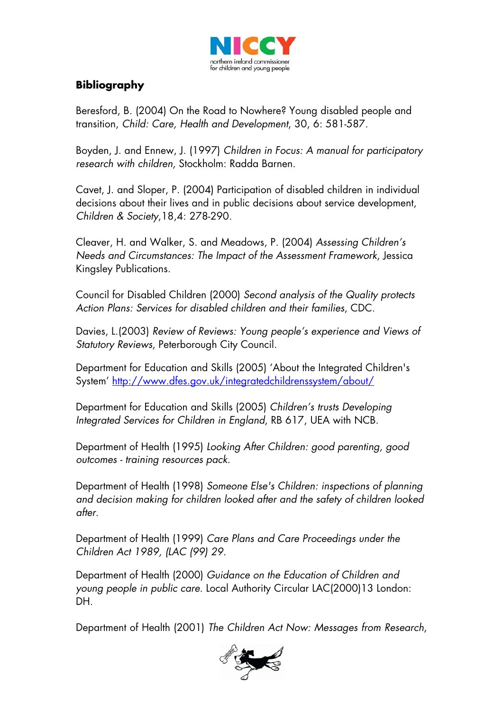

# **Bibliography**

Beresford, B. (2004) On the Road to Nowhere? Young disabled people and transition, *Child: Care, Health and Development*, 30, 6: 581-587.

Boyden, J. and Ennew, J. (1997) *Children in Focus: A manual for participatory research with children,* Stockholm: Radda Barnen.

Cavet, J. and Sloper, P. (2004) Participation of disabled children in individual decisions about their lives and in public decisions about service development, *Children & Society*,18,4: 278-290.

Cleaver, H. and Walker, S. and Meadows, P. (2004) *Assessing Children's Needs and Circumstances: The Impact of the Assessment Framework*, Jessica Kingsley Publications.

Council for Disabled Children (2000) *Second analysis of the Quality protects Action Plans: Services for disabled children and their families*, CDC.

Davies, L.(2003) *Review of Reviews: Young people's experience and Views of Statutory Reviews*, Peterborough City Council.

Department for Education and Skills (2005) 'About the Integrated Children's System' <http://www.dfes.gov.uk/integratedchildrenssystem/about/>

Department for Education and Skills (2005) *Children's trusts Developing Integrated Services for Children in England*, RB 617, UEA with NCB.

Department of Health (1995) *Looking After Children: good parenting, good outcomes - training resources pack*.

Department of Health (1998) *Someone Else's Children: inspections of planning and decision making for children looked after and the safety of children looked after.*

Department of Health (1999) *Care Plans and Care Proceedings under the Children Act 1989, (LAC (99) 29.*

Department of Health (2000) *Guidance on the Education of Children and young people in public care*. Local Authority Circular LAC(2000)13 London: DH.

Department of Health (2001) *The Children Act Now: Messages from Research*,

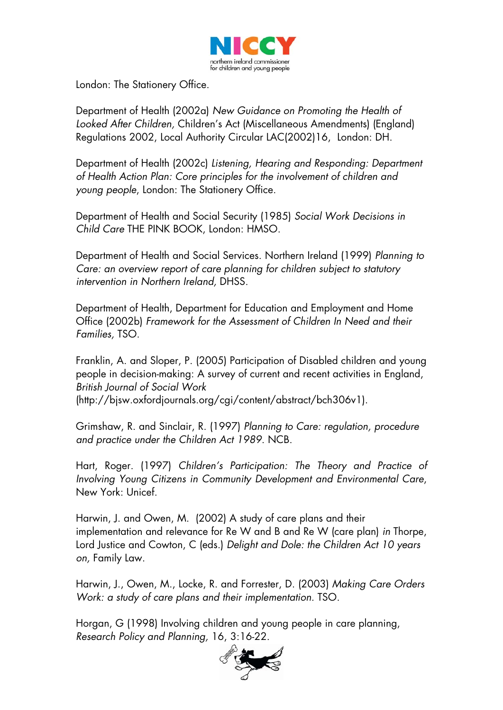

London: The Stationery Office.

Department of Health (2002a) *New Guidance on Promoting the Health of Looked After Children,* Children's Act (Miscellaneous Amendments) (England) Regulations 2002, Local Authority Circular LAC(2002)16, London: DH.

Department of Health (2002c) *Listening, Hearing and Responding: Department of Health Action Plan: Core principles for the involvement of children and young people*, London: The Stationery Office.

Department of Health and Social Security (1985) *Social Work Decisions in Child Care* THE PINK BOOK, London: HMSO.

Department of Health and Social Services. Northern Ireland (1999) *Planning to Care: an overview report of care planning for children subject to statutory intervention in Northern Ireland,* DHSS.

Department of Health, Department for Education and Employment and Home Office (2002b) *Framework for the Assessment of Children In Need and their Families,* TSO.

Franklin, A. and Sloper, P. (2005) Participation of Disabled children and young people in decision-making: A survey of current and recent activities in England, *British Journal of Social Work*  (http://bjsw.oxfordjournals.org/cgi/content/abstract/bch306v1).

Grimshaw, R. and Sinclair, R. (1997) *Planning to Care: regulation, procedure and practice under the Children Act 1989*. NCB.

Hart, Roger. (1997) *Children's Participation: The Theory and Practice of Involving Young Citizens in Community Development and Environmental Care*, New York: Unicef.

Harwin, J. and Owen, M. (2002) A study of care plans and their implementation and relevance for Re W and B and Re W (care plan) *in* Thorpe, Lord Justice and Cowton, C (eds.) *Delight and Dole: the Children Act 10 years on,* Family Law.

Harwin, J., Owen, M., Locke, R. and Forrester, D. (2003) *Making Care Orders Work: a study of care plans and their implementation.* TSO.

Horgan, G (1998) Involving children and young people in care planning, *Research Policy and Planning,* 16, 3:16-22.

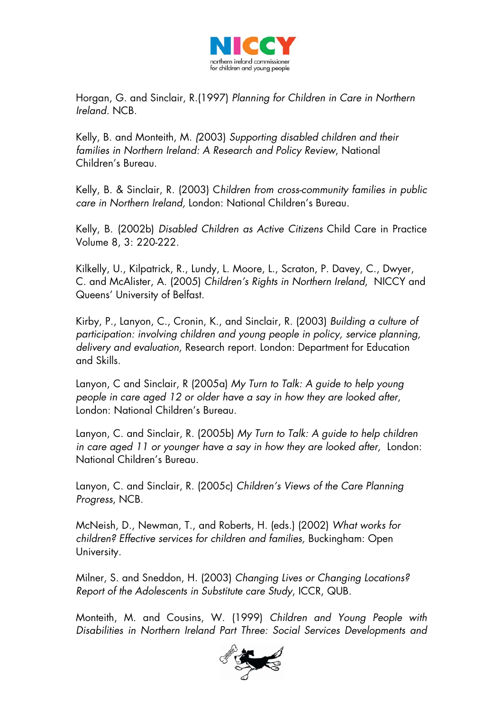

Horgan, G. and Sinclair, R.(1997) *Planning for Children in Care in Northern Ireland.* NCB.

Kelly, B. and Monteith, M. *(*2003) *Supporting disabled children and their families in Northern Ireland: A Research and Policy Review*, National Children's Bureau.

Kelly, B. & Sinclair, R. (2003) C*hildren from cross-community families in public care in Northern Ireland,* London: National Children's Bureau.

Kelly, B. (2002b) *Disabled Children as Active Citizens* Child Care in Practice Volume 8, 3: 220-222.

Kilkelly, U., Kilpatrick, R., Lundy, L. Moore, L., Scraton, P. Davey, C., Dwyer, C. and McAlister, A. (2005) *Children's Rights in Northern Ireland*, NICCY and Queens' University of Belfast.

Kirby, P., Lanyon, C., Cronin, K., and Sinclair, R. (2003) *Building a culture of participation: involving children and young people in policy, service planning, delivery and evaluation,* Research report. London: Department for Education and Skills.

Lanyon, C and Sinclair, R (2005a) *My Turn to Talk: A guide to help young people in care aged 12 or older have a say in how they are looked after*, London: National Children's Bureau.

Lanyon, C. and Sinclair, R. (2005b) *My Turn to Talk: A guide to help children in care aged 11 or younger have a say in how they are looked after,* London: National Children's Bureau.

Lanyon, C. and Sinclair, R. (2005c) *Children's Views of the Care Planning Progress*, NCB.

McNeish, D., Newman, T., and Roberts, H. (eds.) (2002) *What works for children? Effective services for children and families,* Buckingham: Open University.

Milner, S. and Sneddon, H. (2003) *Changing Lives or Changing Locations? Report of the Adolescents in Substitute care Study*, ICCR, QUB.

Monteith, M. and Cousins, W. (1999) *Children and Young People with Disabilities in Northern Ireland Part Three: Social Services Developments and* 

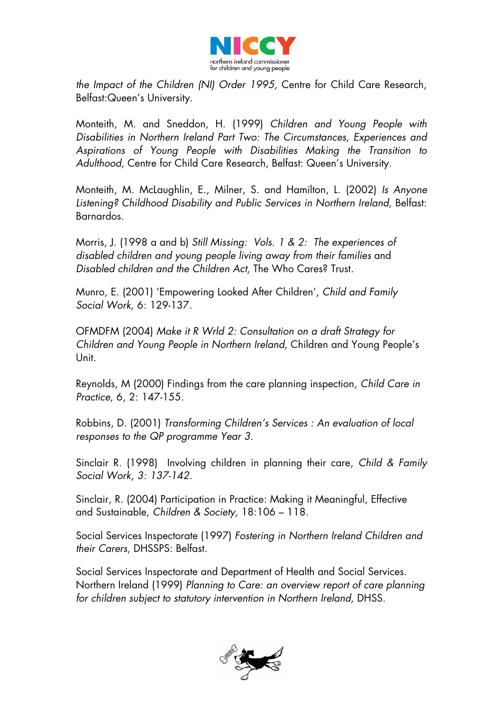

*the Impact of the Children (NI) Order 1995,* Centre for Child Care Research, Belfast:Queen's University.

Monteith, M. and Sneddon, H. (1999) *Children and Young People with Disabilities in Northern Ireland Part Two: The Circumstances, Experiences and Aspirations of Young People with Disabilities Making the Transition to Adulthood,* Centre for Child Care Research, Belfast: Queen's University.

Monteith, M. McLaughlin, E., Milner, S. and Hamilton, L. (2002) *Is Anyone Listening? Childhood Disability and Public Services in Northern Ireland,* Belfast: Barnardos.

Morris, J. (1998 a and b) *Still Missing: Vols. 1 & 2: The experiences of disabled children and young people living away from their families* and *Disabled children and the Children Act,* The Who Cares? Trust.

Munro, E. (2001) 'Empowering Looked After Children', *Child and Family Social Work*, 6: 129-137.

OFMDFM (2004) *Make it R Wrld 2: Consultation on a draft Strategy for Children and Young People in Northern Ireland*, Children and Young People's Unit.

Reynolds, M (2000) Findings from the care planning inspection*, Child Care in Practice*, 6, 2: 147-155.

Robbins, D. (2001) *Transforming Children's Services : An evaluation of local responses to the QP programme Year 3.*

Sinclair R. (1998) Involving children in planning their care*, Child & Family Social Work, 3: 137-142.* 

Sinclair, R. (2004) Participation in Practice: Making it Meaningful, Effective and Sustainable, *Children & Society,* 18:106 – 118.

Social Services Inspectorate (1997) *Fostering in Northern Ireland Children and their Carers*, DHSSPS: Belfast.

Social Services Inspectorate and Department of Health and Social Services. Northern Ireland (1999) *Planning to Care: an overview report of care planning for children subject to statutory intervention in Northern Ireland,* DHSS.